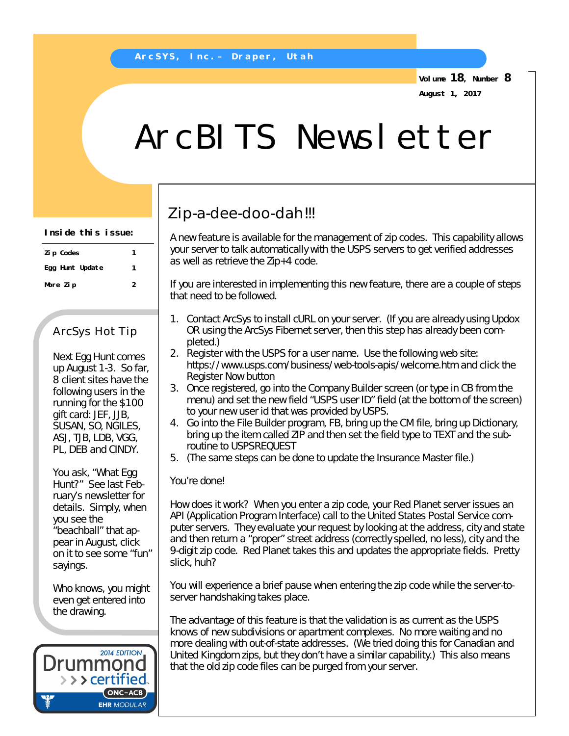**Volume 18, Number 8 August 1, 2017**

# ArcBITS Newsletter

## Zip-a-dee-doo-dah!!!

A new feature is available for the management of zip codes. This capability allows your server to talk automatically with the USPS servers to get verified addresses as well as retrieve the Zip+4 code.

If you are interested in implementing this new feature, there are a couple of steps that need to be followed.

- 1. Contact ArcSys to install cURL on your server. (If you are already using Updox OR using the ArcSys Fibernet server, then this step has already been completed.)
- 2. Register with the USPS for a user name. Use the following web site: *<https://www.usps.com/business/web-tools-apis/welcome.htm>*and click the Register Now button
- 3. Once registered, go into the Company Builder screen (or type in CB from the menu) and set the new field "USPS user ID" field (at the bottom of the screen) to your new user id that was provided by USPS.
- 4. Go into the File Builder program, FB, bring up the CM file, bring up Dictionary, bring up the item called ZIP and then set the field type to TEXT and the subroutine to USPSREQUEST
- 5. (The same steps can be done to update the Insurance Master file.)

#### You're done!

How does it work? When you enter a zip code, your Red Planet server issues an API (Application Program Interface) call to the United States Postal Service computer servers. They evaluate your request by looking at the address, city and state and then return a "proper" street address (correctly spelled, no less), city and the 9-digit zip code. Red Planet takes this and updates the appropriate fields. Pretty slick, huh?

You will experience a brief pause when entering the zip code while the server-toserver handshaking takes place.

The advantage of this feature is that the validation is as current as the USPS knows of new subdivisions or apartment complexes. No more waiting and no more dealing with out-of-state addresses. (We tried doing this for Canadian and United Kingdom zips, but they don't have a similar capability.) This also means that the old zip code files can be purged from your server.

| Inside this issue: |  |  |
|--------------------|--|--|
|--------------------|--|--|

| Zi p Codes      |   |
|-----------------|---|
| Egg Hunt Update | 1 |
| More Zip        | 2 |

### ArcSys Hot Tip

Next Egg Hunt comes up August 1-3. So far, 8 client sites have the following users in the running for the \$100 gift card: JEF, JJB, SUSAN, SO, NGILES, ASJ, TJB, LDB, VGG, PL, DEB and CINDY.

You ask, "What Egg Hunt?" See last February's newsletter for details. Simply, when you see the "beachball" that appear in August, click on it to see some "fun" sayings.

Who knows, you might even get entered into the drawing.

2014 EDITION Drummor > > > certified.  $(ONC-ACB)$ **EHR MODULAR**